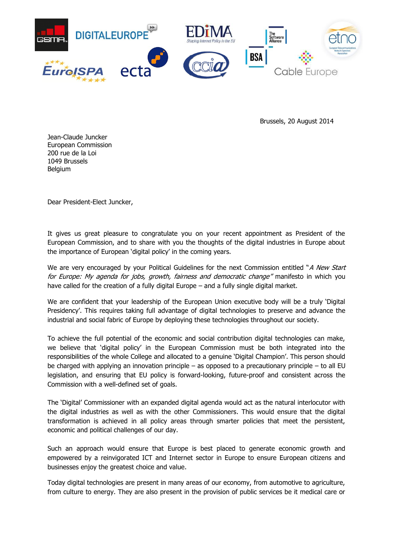

Brussels, 20 August 2014

Jean-Claude Juncker European Commission 200 rue de la Loi 1049 Brussels Belgium

Dear President-Elect Juncker,

It gives us great pleasure to congratulate you on your recent appointment as President of the European Commission, and to share with you the thoughts of the digital industries in Europe about the importance of European 'digital policy' in the coming years.

We are very encouraged by your Political Guidelines for the next Commission entitled "A New Start for Europe: My agenda for jobs, growth, fairness and democratic change" manifesto in which you have called for the creation of a fully digital Europe – and a fully single digital market.

We are confident that your leadership of the European Union executive body will be a truly 'Digital Presidency'. This requires taking full advantage of digital technologies to preserve and advance the industrial and social fabric of Europe by deploying these technologies throughout our society.

To achieve the full potential of the economic and social contribution digital technologies can make, we believe that 'digital policy' in the European Commission must be both integrated into the responsibilities of the whole College and allocated to a genuine 'Digital Champion'. This person should be charged with applying an innovation principle – as opposed to a precautionary principle – to all EU legislation, and ensuring that EU policy is forward-looking, future-proof and consistent across the Commission with a well-defined set of goals.

The 'Digital' Commissioner with an expanded digital agenda would act as the natural interlocutor with the digital industries as well as with the other Commissioners. This would ensure that the digital transformation is achieved in all policy areas through smarter policies that meet the persistent, economic and political challenges of our day.

Such an approach would ensure that Europe is best placed to generate economic growth and empowered by a reinvigorated ICT and Internet sector in Europe to ensure European citizens and businesses enjoy the greatest choice and value.

Today digital technologies are present in many areas of our economy, from automotive to agriculture, from culture to energy. They are also present in the provision of public services be it medical care or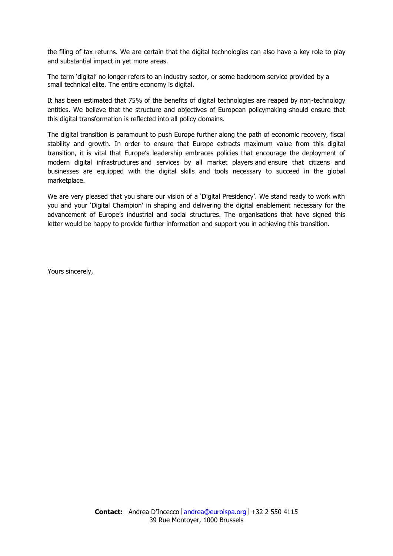the filing of tax returns. We are certain that the digital technologies can also have a key role to play and substantial impact in yet more areas.

The term 'digital' no longer refers to an industry sector, or some backroom service provided by a small technical elite. The entire economy is digital.

It has been estimated that 75% of the benefits of digital technologies are reaped by non-technology entities. We believe that the structure and objectives of European policymaking should ensure that this digital transformation is reflected into all policy domains.

The digital transition is paramount to push Europe further along the path of economic recovery, fiscal stability and growth. In order to ensure that Europe extracts maximum value from this digital transition, it is vital that Europe's leadership embraces policies that encourage the deployment of modern digital infrastructures and services by all market players and ensure that citizens and businesses are equipped with the digital skills and tools necessary to succeed in the global marketplace.

We are very pleased that you share our vision of a 'Digital Presidency'. We stand ready to work with you and your 'Digital Champion' in shaping and delivering the digital enablement necessary for the advancement of Europe's industrial and social structures. The organisations that have signed this letter would be happy to provide further information and support you in achieving this transition.

Yours sincerely,